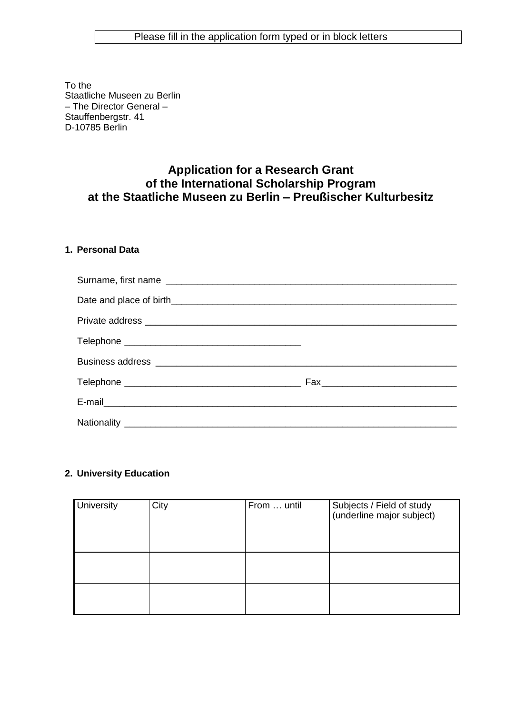To the Staatliche Museen zu Berlin – The Director General – Stauffenbergstr. 41 D-10785 Berlin

# **Application for a Research Grant of the International Scholarship Program at the Staatliche Museen zu Berlin – Preußischer Kulturbesitz**

### **1. Personal Data**

| Private address experience and the private address experience and the set of the set of the set of the set of the set of the set of the set of the set of the set of the set of the set of the set of the set of the set of th |  |
|--------------------------------------------------------------------------------------------------------------------------------------------------------------------------------------------------------------------------------|--|
|                                                                                                                                                                                                                                |  |
|                                                                                                                                                                                                                                |  |
|                                                                                                                                                                                                                                |  |
| E-mail                                                                                                                                                                                                                         |  |
|                                                                                                                                                                                                                                |  |

## **2. University Education**

| University | City | From  until | Subjects / Field of study<br>(underline major subject) |
|------------|------|-------------|--------------------------------------------------------|
|            |      |             |                                                        |
|            |      |             |                                                        |
|            |      |             |                                                        |
|            |      |             |                                                        |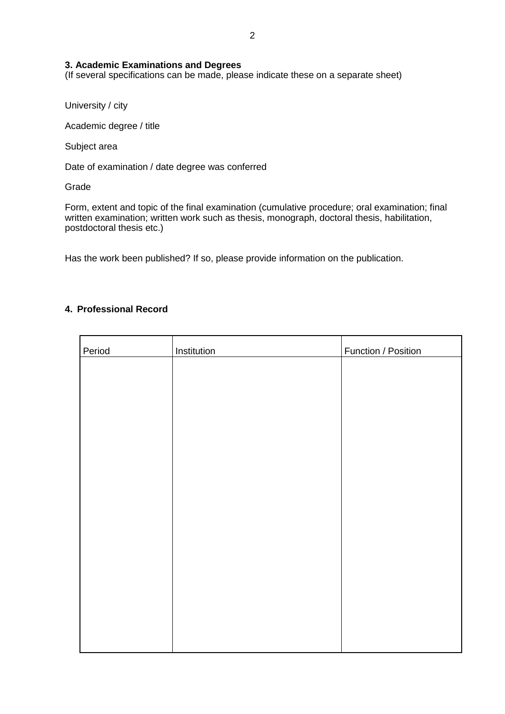#### **3. Academic Examinations and Degrees**

(If several specifications can be made, please indicate these on a separate sheet)

University / city

Academic degree / title

Subject area

Date of examination / date degree was conferred

Grade

Form, extent and topic of the final examination (cumulative procedure; oral examination; final written examination; written work such as thesis, monograph, doctoral thesis, habilitation, postdoctoral thesis etc.)

Has the work been published? If so, please provide information on the publication.

#### **4. Professional Record**

| Period | Institution | Function / Position |
|--------|-------------|---------------------|
|        |             |                     |
|        |             |                     |
|        |             |                     |
|        |             |                     |
|        |             |                     |
|        |             |                     |
|        |             |                     |
|        |             |                     |
|        |             |                     |
|        |             |                     |
|        |             |                     |
|        |             |                     |
|        |             |                     |
|        |             |                     |
|        |             |                     |
|        |             |                     |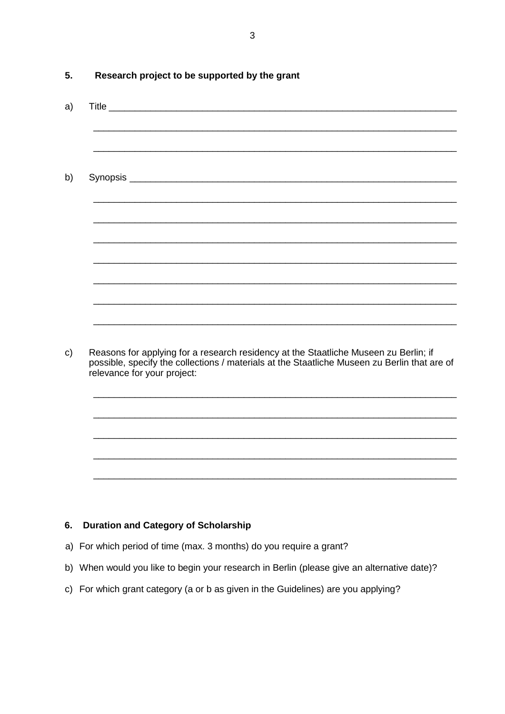| Research project to be supported by the grant                                                                                                                                                                       |
|---------------------------------------------------------------------------------------------------------------------------------------------------------------------------------------------------------------------|
|                                                                                                                                                                                                                     |
|                                                                                                                                                                                                                     |
|                                                                                                                                                                                                                     |
|                                                                                                                                                                                                                     |
|                                                                                                                                                                                                                     |
|                                                                                                                                                                                                                     |
|                                                                                                                                                                                                                     |
|                                                                                                                                                                                                                     |
|                                                                                                                                                                                                                     |
|                                                                                                                                                                                                                     |
|                                                                                                                                                                                                                     |
|                                                                                                                                                                                                                     |
| Reasons for applying for a research residency at the Staatliche Museen zu Berlin; if<br>possible, specify the collections / materials at the Staatliche Museen zu Berlin that are of<br>relevance for your project: |
|                                                                                                                                                                                                                     |
|                                                                                                                                                                                                                     |
|                                                                                                                                                                                                                     |
|                                                                                                                                                                                                                     |

#### **Duration and Category of Scholarship** 6.

- a) For which period of time (max. 3 months) do you require a grant?
- b) When would you like to begin your research in Berlin (please give an alternative date)?
- c) For which grant category (a or b as given in the Guidelines) are you applying?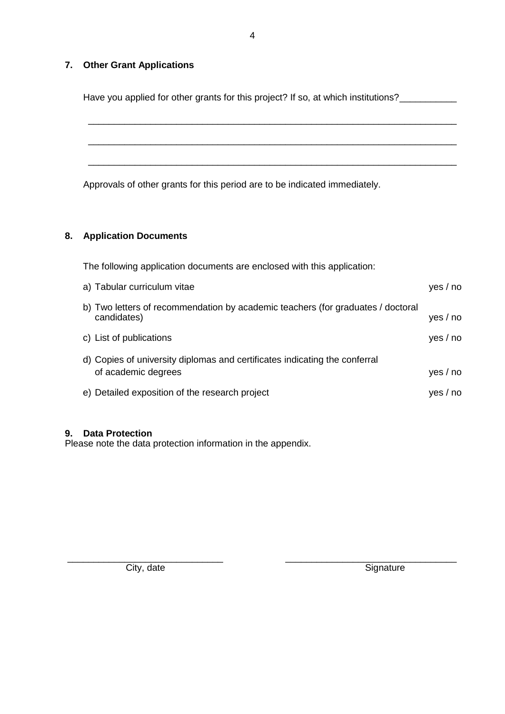## **7. Other Grant Applications**

Have you applied for other grants for this project? If so, at which institutions?\_\_\_\_\_\_\_\_\_\_\_\_

\_\_\_\_\_\_\_\_\_\_\_\_\_\_\_\_\_\_\_\_\_\_\_\_\_\_\_\_\_\_\_\_\_\_\_\_\_\_\_\_\_\_\_\_\_\_\_\_\_\_\_\_\_\_\_\_\_\_\_\_\_\_\_\_\_\_\_\_\_\_\_

\_\_\_\_\_\_\_\_\_\_\_\_\_\_\_\_\_\_\_\_\_\_\_\_\_\_\_\_\_\_\_\_\_\_\_\_\_\_\_\_\_\_\_\_\_\_\_\_\_\_\_\_\_\_\_\_\_\_\_\_\_\_\_\_\_\_\_\_\_\_\_

\_\_\_\_\_\_\_\_\_\_\_\_\_\_\_\_\_\_\_\_\_\_\_\_\_\_\_\_\_\_\_\_\_\_\_\_\_\_\_\_\_\_\_\_\_\_\_\_\_\_\_\_\_\_\_\_\_\_\_\_\_\_\_\_\_\_\_\_\_\_\_

4

Approvals of other grants for this period are to be indicated immediately.

# **8. Application Documents**

| The following application documents are enclosed with this application:         |          |  |  |
|---------------------------------------------------------------------------------|----------|--|--|
| a) Tabular curriculum vitae                                                     | yes / no |  |  |
| b) Two letters of recommendation by academic teachers (for graduates / doctoral |          |  |  |
| candidates)                                                                     | yes / no |  |  |
| c) List of publications                                                         | yes / no |  |  |
| d) Copies of university diplomas and certificates indicating the conferral      |          |  |  |
| of academic degrees                                                             | yes / no |  |  |
| e) Detailed exposition of the research project                                  | yes / no |  |  |
|                                                                                 |          |  |  |

#### **9. Data Protection**

Please note the data protection information in the appendix.

\_\_\_\_\_\_\_\_\_\_\_\_\_\_\_\_\_\_\_\_\_\_\_\_\_\_\_\_\_\_ \_\_\_\_\_\_\_\_\_\_\_\_\_\_\_\_\_\_\_\_\_\_\_\_\_\_\_\_\_\_\_\_\_ City, date Signature Signature